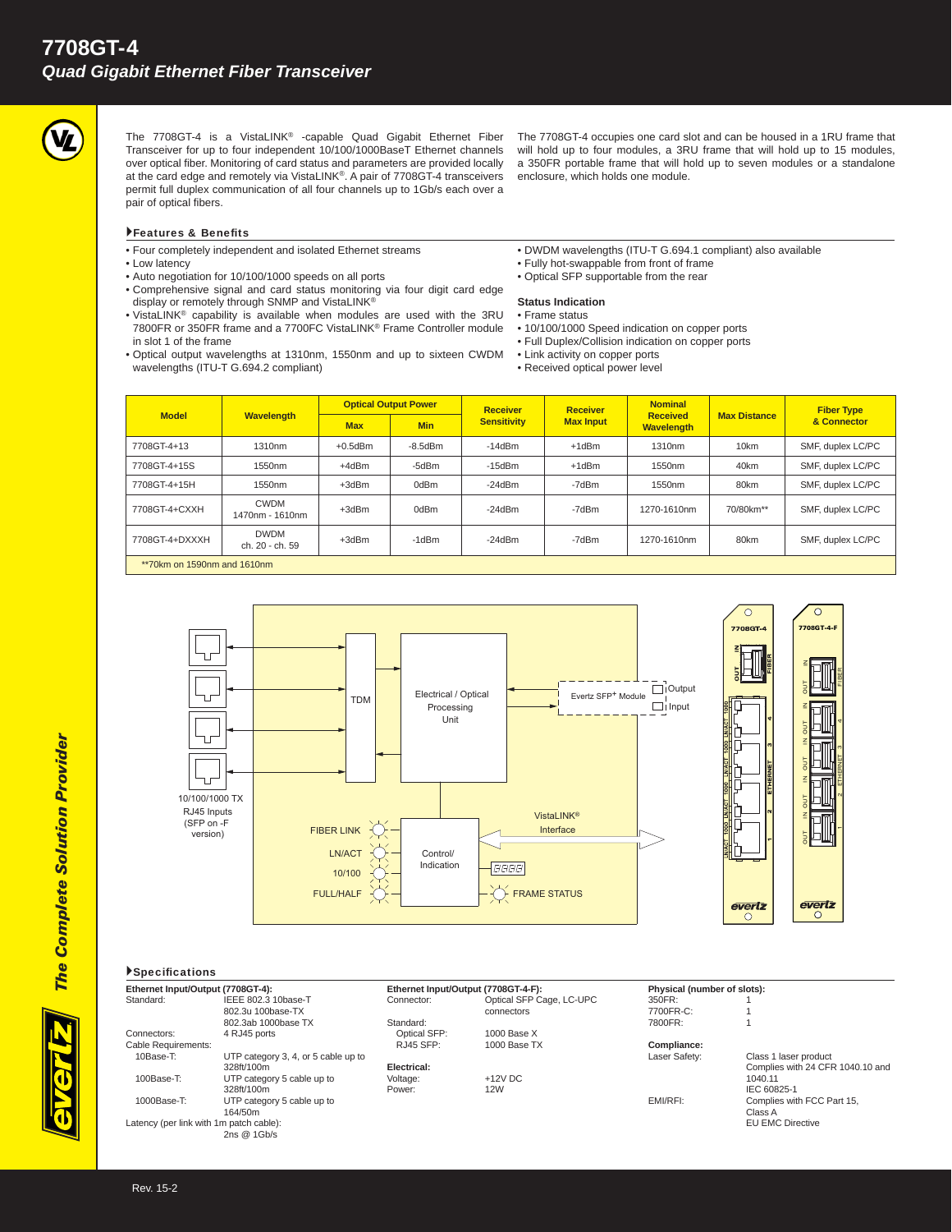

The 7708GT-4 is a VistaLINK® -capable Quad Gigabit Ethernet Fiber Transceiver for up to four independent 10/100/1000BaseT Ethernet channels over optical fiber. Monitoring of card status and parameters are provided locally at the card edge and remotely via VistaLINK®. A pair of 7708GT-4 transceivers permit full duplex communication of all four channels up to 1Gb/s each over a pair of optical fibers.

Features & Benefits

• Four completely independent and isolated Ethernet streams

- Low latency
- Auto negotiation for 10/100/1000 speeds on all ports
- Comprehensive signal and card status monitoring via four digit card edge display or remotely through SNMP and VistaLINK®
- VistaLINK® capability is available when modules are used with the 3RU 7800FR or 350FR frame and a 7700FC VistaLINK® Frame Controller module in slot 1 of the frame
- Optical output wavelengths at 1310nm, 1550nm and up to sixteen CWDM wavelengths (ITU-T G.694.2 compliant)

The 7708GT-4 occupies one card slot and can be housed in a 1RU frame that will hold up to four modules, a 3RU frame that will hold up to 15 modules, a 350FR portable frame that will hold up to seven modules or a standalone enclosure, which holds one module.

- DWDM wavelengths (ITU-T G.694.1 compliant) also available
- Fully hot-swappable from front of frame
- Optical SFP supportable from the rear

#### **Status Indication**

- Frame status
- 10/100/1000 Speed indication on copper ports
- Full Duplex/Collision indication on copper ports
- Link activity on copper ports
- Received optical power level

| <b>Model</b>                  | Wavelength                     | <b>Optical Output Power</b> |               | <b>Receiver</b>    | <b>Receiver</b>  | <b>Nominal</b>                       |                     | <b>Fiber Type</b> |
|-------------------------------|--------------------------------|-----------------------------|---------------|--------------------|------------------|--------------------------------------|---------------------|-------------------|
|                               |                                | <b>Max</b>                  | <b>Min</b>    | <b>Sensitivity</b> | <b>Max Input</b> | <b>Received</b><br><b>Wavelength</b> | <b>Max Distance</b> | & Connector       |
| 7708GT-4+13                   | 1310nm                         | $+0.5$ d $Bm$               | $-8.5$ d $Bm$ | $-14dBm$           | $+1$ d $Bm$      | 1310nm                               | 10km                | SMF, duplex LC/PC |
| 7708GT-4+15S                  | 1550nm                         | +4dBm                       | -5dBm         | $-15dBm$           | +1dBm            | 1550 <sub>nm</sub>                   | 40km                | SMF, duplex LC/PC |
| 7708GT-4+15H                  | 1550nm                         | $+3dBr$                     | 0dBm          | $-24dBm$           | -7dBm            | 1550 <sub>nm</sub>                   | 80km                | SMF, duplex LC/PC |
| 7708GT-4+CXXH                 | <b>CWDM</b><br>1470nm - 1610nm | $+3dBr$                     | 0dBm          | $-24dBm$           | -7dBm            | 1270-1610nm                          | 70/80km**           | SMF, duplex LC/PC |
| 7708GT-4+DXXXH                | <b>DWDM</b><br>ch. 20 - ch. 59 | $+3dBr$                     | -1dBm         | $-24dBm$           | -7dBm            | 1270-1610nm                          | 80km                | SMF, duplex LC/PC |
| $**70km$ on 1590nm and 1610nm |                                |                             |               |                    |                  |                                      |                     |                   |





# ≧<br>55 OUT IN OUT IN OUT IN OUT IN  $\frac{e\overline{vertz}}{0}$

BI ER

7708GT

 $\overline{\circ}$ 

43

ETHERNET

 $10$  and

## $\blacktriangleright$  Specifications

| Ethernet Input/Output (7708GT-4):       |                                     | Ethernet Input/Output (7708GT-4-F): |                          | Physical (number of slots): |                            |
|-----------------------------------------|-------------------------------------|-------------------------------------|--------------------------|-----------------------------|----------------------------|
| Standard:                               | IEEE 802.3 10base-T                 | Connector:                          | Optical SFP Cage, LC-UPC | 350FR:                      |                            |
|                                         | 802.3u 100base-TX                   |                                     | connectors               | 7700FR-C:                   |                            |
|                                         | 802.3ab 1000base TX                 | Standard:                           |                          | 7800FR:                     |                            |
| Connectors:                             | 4 RJ45 ports                        | Optical SFP:                        | 1000 Base X              |                             |                            |
| Cable Requirements:                     |                                     | RJ45 SFP:                           | 1000 Base TX             | Compliance:                 |                            |
| 10Base-T:                               | UTP category 3, 4, or 5 cable up to |                                     |                          | Laser Safety:               | Class 1 laser product      |
|                                         | 328ft/100m                          | Electrical:                         |                          |                             | Complies with 24 CFR 1040  |
| $100Base-T$                             | UTP category 5 cable up to          | Voltage:                            | $+12V$ DC                |                             | 1040.11                    |
|                                         | 328ft/100m                          | Power:                              | 12W                      |                             | IEC 60825-1                |
| $1000Base-T$                            | UTP category 5 cable up to          |                                     |                          | EMI/RFI:                    | Complies with FCC Part 15. |
|                                         | 164/50m                             |                                     |                          |                             | Class A                    |
| Latency (per link with 1m patch cable): |                                     |                                     |                          |                             | <b>EU EMC Directive</b>    |
|                                         | 2ns @ 1Gb/s                         |                                     |                          |                             |                            |